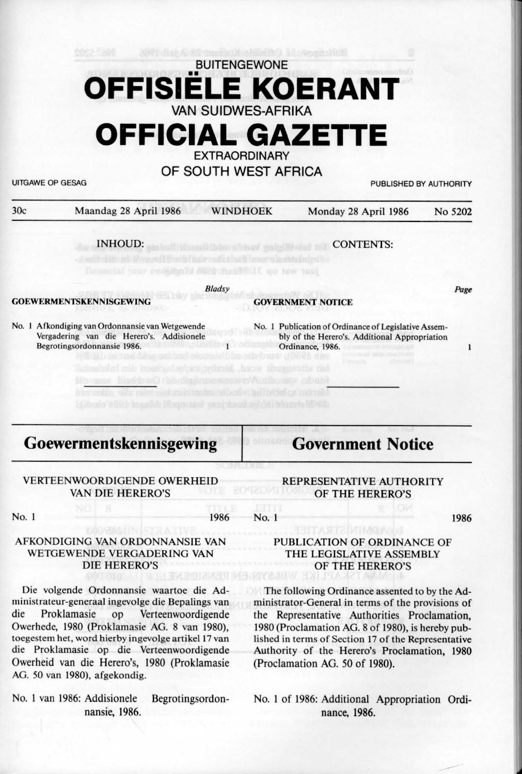# **BUITENGEWONE** •• **OFFISIELE KOERANT**  VAN SUIDWES-AFRIKA

## **OFFICIAL GAZETTE EXTRAORDINARY**

OF SOUTH WEST AFRICA

| <b>UITGAWE OP GESAG</b> |                                                                                                                                                                                                                                                 | PUBLISHED BY AUTHORITY |                                           |                                                                                                                                                                                                                                                                 |         |
|-------------------------|-------------------------------------------------------------------------------------------------------------------------------------------------------------------------------------------------------------------------------------------------|------------------------|-------------------------------------------|-----------------------------------------------------------------------------------------------------------------------------------------------------------------------------------------------------------------------------------------------------------------|---------|
| 30c                     | Maandag 28 April 1986                                                                                                                                                                                                                           |                        | <b>WINDHOEK</b>                           | Monday 28 April 1986                                                                                                                                                                                                                                            | No 5202 |
|                         | <b>INHOUD:</b>                                                                                                                                                                                                                                  |                        |                                           | <b>CONTENTS:</b>                                                                                                                                                                                                                                                |         |
|                         |                                                                                                                                                                                                                                                 |                        | ill no law tanj                           |                                                                                                                                                                                                                                                                 |         |
|                         |                                                                                                                                                                                                                                                 | <b>Bladsy</b>          |                                           |                                                                                                                                                                                                                                                                 | Page    |
|                         | <b>GOEWERMENTSKENNISGEWING</b>                                                                                                                                                                                                                  |                        |                                           | <b>GOVERNMENT NOTICE</b>                                                                                                                                                                                                                                        |         |
|                         | No. 1 Afkondiging van Ordonnansie van Wetgewende<br>Vergadering van die Herero's. Addisionele<br>Begrotingsordonnansie 1986.<br>montal entre troont za Lenton orda                                                                              |                        | Jacon Insurancial del<br>Wirthbuggy ababt | No. 1 Publication of Ordinance of Legislative Assem-<br>bly of the Herero's. Additional Appropriation<br>Ordinance, 1986.                                                                                                                                       | 1       |
|                         | historic a201 beautiful Mayorator pany houd sold at Mayer's Worth<br>Goewermentskennisgewing                                                                                                                                                    |                        |                                           | <b>Government Notice</b>                                                                                                                                                                                                                                        |         |
|                         | <b>VERTEENWOORDIGENDE OWERHEID</b><br><b>VAN DIE HERERO'S</b>                                                                                                                                                                                   |                        |                                           | REPRESENTATIVE AUTHORITY<br>OF THE HERERO'S                                                                                                                                                                                                                     |         |
| No. 1                   |                                                                                                                                                                                                                                                 | 1986                   | No. 1                                     |                                                                                                                                                                                                                                                                 | 1986    |
|                         | AFKONDIGING VAN ORDONNANSIE VAN<br>WETGEWENDE VERGADERING VAN<br><b>DIE HERERO'S</b>                                                                                                                                                            |                        |                                           | PUBLICATION OF ORDINANCE OF<br>THE LEGISLATIVE ASSEMBLY<br>OF THE HERERO'S                                                                                                                                                                                      |         |
| die                     | Die volgende Ordonnansie waartoe die Ad-<br>ministrateur-generaal ingevolge die Bepalings van<br>Proklamasie<br>Verteenwoordigende<br>op<br>Owerhede, 1980 (Proklamasie AG. 8 van 1980),<br>toegestem het, word hierby ingevolge artikel 17 van |                        |                                           | The following Ordinance assented to by the Ad-<br>ministrator-General in terms of the provisions of<br>the Representative Authorities Proclamation,<br>1980 (Proclamation AG. 8 of 1980), is hereby pub-<br>lished in terms of Section 17 of the Representative |         |

lished in terms of Section 17 of the Representative Authority of the Herero's Proclamation, 1980 (Proclamation AG. 50 of 1980).

No. 1 of 1986: Additional Appropriation Ordinance, 1986.

AG. 50 van 1980), afgekondig. No. I van 1986: Addisionele Begrotingsordon-

nansie, 1986.

die Proklamasie op die Verteenwoordigende Owerheid van die Herero's, 1980 (Proklamasie